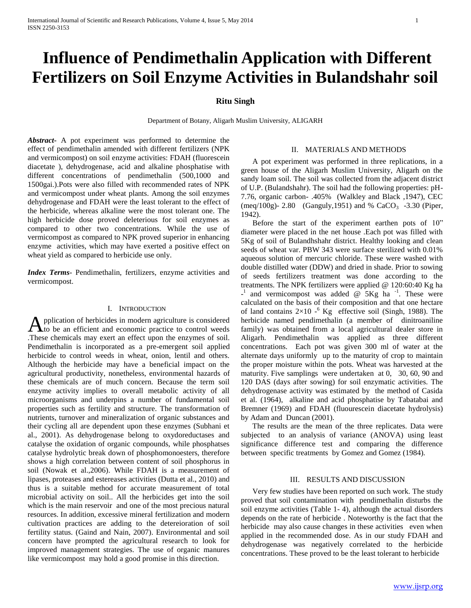# **Influence of Pendimethalin Application with Different Fertilizers on Soil Enzyme Activities in Bulandshahr soil**

## **Ritu Singh**

Department of Botany, Aligarh Muslim University, ALIGARH

*Abstract***-** A pot experiment was performed to determine the effect of pendimethalin amended with different fertilizers (NPK and vermicompost) on soil enzyme activities: FDAH (fluorescein diacetate ), dehydrogenase, acid and alkaline phosphatise with different concentrations of pendimethalin (500,1000 and 1500gai.).Pots were also filled with recommended rates of NPK and vermicompost under wheat plants. Among the soil enzymes dehydrogenase and FDAH were the least tolerant to the effect of the herbicide, whereas alkaline were the most tolerant one. The high herbicide dose proved deleterious for soil enzymes as compared to other two concentrations. While the use of vermicompost as compared to NPK proved superior in enhancing enzyme activities, which may have exerted a positive effect on wheat yield as compared to herbicide use only.

*Index Terms*- Pendimethalin, fertilizers, enzyme activities and vermicompost.

#### I. INTRODUCTION

pplication of herbicides in modern agriculture is considered to be an efficient and economic practice to control weeds Application of herbicides in modern agriculture is considered<br>These chemicals may exert an effect upon the enzymes of soil. Pendimethalin is incorporated as a pre-emergent soil applied herbicide to control weeds in wheat, onion, lentil and others. Although the herbicide may have a beneficial impact on the agricultural productivity, nonetheless, environmental hazards of these chemicals are of much concern. Because the term soil enzyme activity implies to overall metabolic activity of all microorganisms and underpins a number of fundamental soil properties such as fertility and structure. The transformation of nutrients, turnover and mineralization of organic substances and their cycling all are dependent upon these enzymes (Subhani et al., 2001). As dehydrogenase belong to oxydoreductases and catalyse the oxidation of organic compounds, while phosphatses catalyse hydrolytic break down of phosphomonoesters, therefore shows a high correlation between content of soil phosphorus in soil (Nowak et al.,2006). While FDAH is a measurement of lipases, proteases and estereases activities (Dutta et al., 2010) and thus is a suitable method for accurate measurement of total microbial activity on soil.. All the herbicides get into the soil which is the main reservoir and one of the most precious natural resources. In addition, excessive mineral fertilization and modern cultivation practices are adding to the detereioration of soil fertility status. (Gaind and Nain, 2007). Environmental and soil concern have prompted the agricultural research to look for improved management strategies. The use of organic manures like vermicompost may hold a good promise in this direction.

#### II. MATERIALS AND METHODS

 A pot experiment was performed in three replications, in a green house of the Aligarh Muslim University, Aligarh on the sandy loam soil. The soil was collected from the adjacent district of U.P. (Bulandshahr). The soil had the following properties: pH-7.76, organic carbon- .405% (Walkley and Black ,1947), CEC (meq/100g)- 2.80 (Ganguly, 1951) and % CaCO<sub>3</sub> -3.30 (Piper, 1942).

 Before the start of the experiment earthen pots of 10" diameter were placed in the net house .Each pot was filled with 5Kg of soil of Bulandhshahr district. Healthy looking and clean seeds of wheat var. PBW 343 were surface sterilized with 0.01% aqueous solution of mercuric chloride. These were washed with double distilled water (DDW) and dried in shade. Prior to sowing of seeds fertilizers treatment was done according to the treatments. The NPK fertilizers were applied @ 120:60:40 Kg ha  $-$ <sup>1</sup> and vermicompost was added @ 5Kg ha<sup>-1</sup>. These were calculated on the basis of their composition and that one hectare of land contains  $2\times10^{-6}$  Kg effective soil (Singh, 1988). The herbicide named pendimethalin (a member of dinitroaniline family) was obtained from a local agricultural dealer store in Aligarh. Pendimethalin was applied as three different concentrations. Each pot was given 300 ml of water at the alternate days uniformly up to the maturity of crop to maintain the proper moisture within the pots. Wheat was harvested at the maturity. Five samplings were undertaken at 0, 30, 60, 90 and 120 DAS (days after sowing) for soil enzymatic activities. The dehydrogenase activity was estimated by the method of Casida et al. (1964), alkaline and acid phosphatise by Tabatabai and Bremner (1969) and FDAH (fluourescein diacetate hydrolysis) by Adam and Duncan (2001).

 The results are the mean of the three replicates. Data were subjected to an analysis of variance (ANOVA) using least significance difference test and comparing the difference between specific treatments by Gomez and Gomez (1984).

#### III. RESULTS AND DISCUSSION

 Very few studies have been reported on such work. The study proved that soil contamination with pendimethalin disturbs the soil enzyme activities (Table 1- 4), although the actual disorders depends on the rate of herbicide . Noteworthy is the fact that the herbicide may also cause changes in these activities even when applied in the recommended dose. As in our study FDAH and dehydrogenase was negatively correlated to the herbicide concentrations. These proved to be the least tolerant to herbicide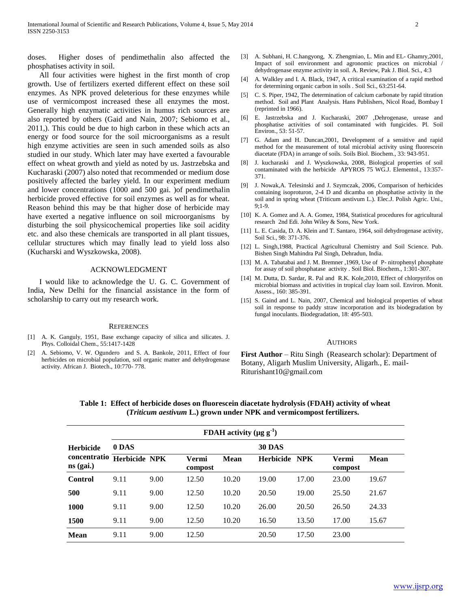doses. Higher doses of pendimethalin also affected the phosphatises activity in soil.

 All four activities were highest in the first month of crop growth. Use of fertilizers exerted different effect on these soil enzymes. As NPK proved deleterious for these enzymes while use of vermicompost increased these all enzymes the most. Generally high enzymatic activities in humus rich sources are also reported by others (Gaid and Nain, 2007; Sebiomo et al., 2011,). This could be due to high carbon in these which acts an energy or food source for the soil microorganisms as a result high enzyme activities are seen in such amended soils as also studied in our study. Which later may have exerted a favourable effect on wheat growth and yield as noted by us. Jastrzebska and Kucharaski (2007) also noted that recommended or medium dose positively affected the barley yield. In our experiment medium and lower concentrations (1000 and 500 gai. )of pendimethalin herbicide proved effective for soil enzymes as well as for wheat. Reason behind this may be that higher dose of herbicide may have exerted a negative influence on soil microorganisms by disturbing the soil physicochemical properties like soil acidity etc. and also these chemicals are transported in all plant tissues, cellular structures which may finally lead to yield loss also (Kucharski and Wyszkowska, 2008).

### ACKNOWLEDGMENT

 I would like to acknowledge the U. G. C. Government of India, New Delhi for the financial assistance in the form of scholarship to carry out my research work.

#### **REFERENCES**

- [1] A. K. Ganguly, 1951, Base exchange capacity of silica and silicates. J. Phys. Colloidal Chem., 55:1417-1428
- [2] A. Sebiomo, V. W. Ogundero and S. A. Bankole, 2011, Effect of four herbicides on microbial population, soil organic matter and dehydrogenase activity. African J. Biotech., 10:770- 778.
- [3] A. Subhani, H. C.hangyong, X. Zhengmiao, L. Min and EL- Ghamry,2001, Impact of soil environment and agronomic practices on microbial dehydrogenase enzyme activity in soil. A. Review, Pak J. Biol. Sci., 4:3
- [4] A. Walkley and I. A. Black, 1947, A critical examination of a rapid method for determining organic carbon in soils . Soil Sci., 63:251-64.
- [5] C. S. Piper, 1942, The determination of calcium carbonate by rapid titration method. Soil and Plant Analysis. Hans Publishers, Nicol Road, Bombay I (reprinted in 1966).
- [6] E. Jastrzebska and J. Kucharaski, 2007 ,Dehrogenase, urease and phosphatise activities of soil contaminated with fungicides. Pl. Soil Environ., 53: 51-57.
- [7] G. Adam and H. Duncan,2001, Development of a sensitive and rapid method for the measurement of total microbial activity using fluorescein diacetate (FDA) in arrange of soils. Soils Biol. Biochem., 33: 943-951.
- [8] J. kucharaski and J. Wyszkowska, 2008, Biological properties of soil contaminated with the herbicide APYROS 75 WG.J. Elementol., 13:357- 371.
- [9] J. Nowak,A. Telesinski and J. Szymczak, 2006, Comparison of herbicides containing isoproturon, 2-4 D and dicamba on phosphatise activity in the soil and in spring wheat (Triticum aestivum L.). Elec.J. Polish Agric. Uni., 9;1-9.
- [10] K. A. Gomez and A. A. Gomez, 1984, Statistical procedures for agricultural research 2nd Edi. John Wiley & Sons, New York.
- [11] L. E. Casida, D. A. Klein and T. Santaro, 1964, soil dehydrogenase activity, Soil Sci., 98: 371-376.
- [12] L. Singh,1988, Practical Agricultural Chemistry and Soil Science. Pub. Bishen Singh Mahindra Pal Singh, Dehradun, India.
- [13] M. A. Tabatabai and J. M. Bremner , 1969, Use of P- nitrophenyl phosphate for assay of soil phosphatase activity . Soil Biol. Biochem., 1:301-307.
- [14] M. Dutta, D. Sardar, R. Pal and R.K. Kole, 2010, Effect of chlorpyrifos on microbial biomass and activities in tropical clay loam soil. Environ. Monit. Assess., 160: 385-391.
- [15] S. Gaind and L. Nain, 2007, Chemical and biological properties of wheat soil in response to paddy straw incorporation and its biodegradation by fungal inoculants. Biodegradation, 18: 495-503.

#### AUTHORS

**First Author** – Ritu Singh (Reasearch scholar): Department of Botany, Aligarh Muslim University, Aligarh., E. mail-Riturishant10@gmail.com

 **Table 1: Effect of herbicide doses on fluorescein diacetate hydrolysis (FDAH) activity of wheat (***Triticum aestivum* **L.) grown under NPK and vermicompost fertilizers.**

|                             | FDAH activity ( $\mu$ g g <sup>-1</sup> ) |      |                  |       |                  |            |                  |             |
|-----------------------------|-------------------------------------------|------|------------------|-------|------------------|------------|------------------|-------------|
| <b>Herbicide</b>            | 0 DAS                                     |      |                  |       | <b>30 DAS</b>    |            |                  |             |
| concentratio<br>$ns$ (gai.) | <b>Herbicide NPK</b>                      |      | Vermi<br>compost | Mean  | <b>Herbicide</b> | <b>NPK</b> | Vermi<br>compost | <b>Mean</b> |
| Control                     | 9.11                                      | 9.00 | 12.50            | 10.20 | 19.00            | 17.00      | 23.00            | 19.67       |
| 500                         | 9.11                                      | 9.00 | 12.50            | 10.20 | 20.50            | 19.00      | 25.50            | 21.67       |
| 1000                        | 9.11                                      | 9.00 | 12.50            | 10.20 | 26.00            | 20.50      | 26.50            | 24.33       |
| 1500                        | 9.11                                      | 9.00 | 12.50            | 10.20 | 16.50            | 13.50      | 17.00            | 15.67       |
| Mean                        | 9.11                                      | 9.00 | 12.50            |       | 20.50            | 17.50      | 23.00            |             |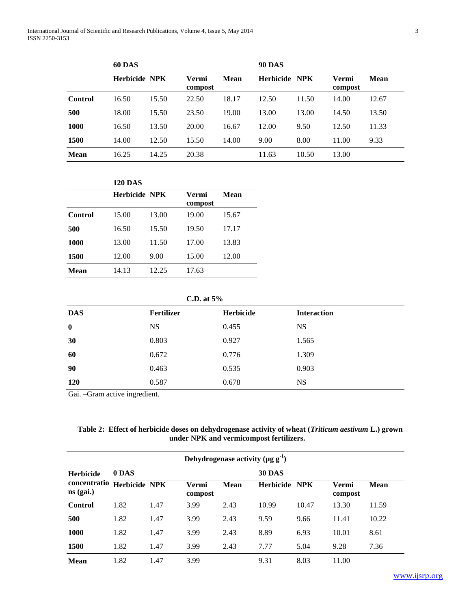|                | <b>60 DAS</b>        |       |                  | <b>90 DAS</b> |               |       |                  |       |
|----------------|----------------------|-------|------------------|---------------|---------------|-------|------------------|-------|
|                | <b>Herbicide NPK</b> |       | Vermi<br>compost | Mean          | Herbicide NPK |       | Vermi<br>compost | Mean  |
| <b>Control</b> | 16.50                | 15.50 | 22.50            | 18.17         | 12.50         | 11.50 | 14.00            | 12.67 |
| 500            | 18.00                | 15.50 | 23.50            | 19.00         | 13.00         | 13.00 | 14.50            | 13.50 |
| 1000           | 16.50                | 13.50 | 20.00            | 16.67         | 12.00         | 9.50  | 12.50            | 11.33 |
| 1500           | 14.00                | 12.50 | 15.50            | 14.00         | 9.00          | 8.00  | 11.00            | 9.33  |
| <b>Mean</b>    | 16.25                | 14.25 | 20.38            |               | 11.63         | 10.50 | 13.00            |       |

|         | <b>120 DAS</b>       |       |                  |       |
|---------|----------------------|-------|------------------|-------|
|         | <b>Herbicide NPK</b> |       | Vermi<br>compost | Mean  |
| Control | 15.00                | 13.00 | 19.00            | 15.67 |
| 500     | 16.50                | 15.50 | 19.50            | 17.17 |
| 1000    | 13.00                | 11.50 | 17.00            | 13.83 |
| 1500    | 12.00                | 9.00  | 15.00            | 12.00 |
| Mean    | 14.13                | 12.25 | 17.63            |       |

**C.D. at 5%**

| <b>DAS</b> | Fertilizer | Herbicide | <b>Interaction</b> |
|------------|------------|-----------|--------------------|
| $\bf{0}$   | <b>NS</b>  | 0.455     | <b>NS</b>          |
| 30         | 0.803      | 0.927     | 1.565              |
| 60         | 0.672      | 0.776     | 1.309              |
| 90         | 0.463      | 0.535     | 0.903              |
| <b>120</b> | 0.587      | 0.678     | <b>NS</b>          |

Gai. –Gram active ingredient.

| Table 2: Effect of herbicide doses on dehydrogenase activity of wheat ( <i>Triticum aestivum L.</i> ) grown |  |
|-------------------------------------------------------------------------------------------------------------|--|
| under NPK and vermicompost fertilizers.                                                                     |  |

|                                           | Dehydrogenase activity ( $\mu$ g g <sup>-1</sup> ) |      |                  |      |                  |            |                  |             |  |
|-------------------------------------------|----------------------------------------------------|------|------------------|------|------------------|------------|------------------|-------------|--|
| <b>Herbicide</b>                          | 0 DAS                                              |      |                  |      | <b>30 DAS</b>    |            |                  |             |  |
| concentratio Herbicide NPK<br>$ns$ (gai.) |                                                    |      | Vermi<br>compost | Mean | <b>Herbicide</b> | <b>NPK</b> | Vermi<br>compost | <b>Mean</b> |  |
| Control                                   | 1.82                                               | 1.47 | 3.99             | 2.43 | 10.99            | 10.47      | 13.30            | 11.59       |  |
| 500                                       | 1.82                                               | 1.47 | 3.99             | 2.43 | 9.59             | 9.66       | 11.41            | 10.22       |  |
| 1000                                      | 1.82                                               | 1.47 | 3.99             | 2.43 | 8.89             | 6.93       | 10.01            | 8.61        |  |
| 1500                                      | 1.82                                               | 1.47 | 3.99             | 2.43 | 7.77             | 5.04       | 9.28             | 7.36        |  |
| <b>Mean</b>                               | 1.82                                               | 1.47 | 3.99             |      | 9.31             | 8.03       | 11.00            |             |  |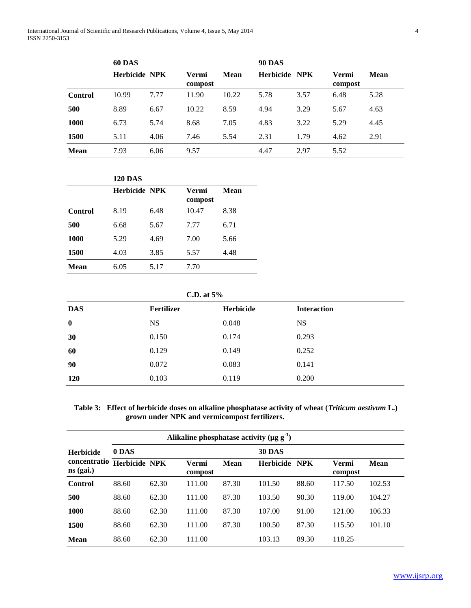|                | <b>60 DAS</b>        |      |                  | <b>90 DAS</b> |               |      |                  |             |
|----------------|----------------------|------|------------------|---------------|---------------|------|------------------|-------------|
|                | <b>Herbicide NPK</b> |      | Vermi<br>compost | <b>Mean</b>   | Herbicide NPK |      | Vermi<br>compost | <b>Mean</b> |
| <b>Control</b> | 10.99                | 7.77 | 11.90            | 10.22         | 5.78          | 3.57 | 6.48             | 5.28        |
| 500            | 8.89                 | 6.67 | 10.22            | 8.59          | 4.94          | 3.29 | 5.67             | 4.63        |
| 1000           | 6.73                 | 5.74 | 8.68             | 7.05          | 4.83          | 3.22 | 5.29             | 4.45        |
| 1500           | 5.11                 | 4.06 | 7.46             | 5.54          | 2.31          | 1.79 | 4.62             | 2.91        |
| <b>Mean</b>    | 7.93                 | 6.06 | 9.57             |               | 4.47          | 2.97 | 5.52             |             |

|         | <b>120 DAS</b>       |      |                  |      |
|---------|----------------------|------|------------------|------|
|         | <b>Herbicide NPK</b> |      | Vermi<br>compost | Mean |
|         |                      | 6.48 | 10.47            |      |
| Control | 8.19                 |      |                  | 8.38 |
| 500     | 6.68                 | 5.67 | 7.77             | 6.71 |
| 1000    | 5.29                 | 4.69 | 7.00             | 5.66 |
| 1500    | 4.03                 | 3.85 | 5.57             | 4.48 |
| Mean    | 6.05                 | 5.17 | 7.70             |      |

**C.D. at 5%**

| <b>DAS</b> | <b>Fertilizer</b> | <b>Herbicide</b> | <b>Interaction</b> |
|------------|-------------------|------------------|--------------------|
| $\bf{0}$   | <b>NS</b>         | 0.048            | <b>NS</b>          |
| 30         | 0.150             | 0.174            | 0.293              |
| 60         | 0.129             | 0.149            | 0.252              |
| 90         | 0.072             | 0.083            | 0.141              |
| <b>120</b> | 0.103             | 0.119            | 0.200              |

 **Table 3: Effect of herbicide doses on alkaline phosphatase activity of wheat (***Triticum aestivum* **L.) grown under NPK and vermicompost fertilizers.**

|                             | Alikaline phosphatase activity ( $\mu$ g g <sup>-1</sup> ) |       |                  |       |                  |            |                  |        |
|-----------------------------|------------------------------------------------------------|-------|------------------|-------|------------------|------------|------------------|--------|
| <b>Herbicide</b>            | 0 DAS                                                      |       |                  |       | <b>30 DAS</b>    |            |                  |        |
| concentratio<br>$ns$ (gai.) | <b>Herbicide NPK</b>                                       |       | Vermi<br>compost | Mean  | <b>Herbicide</b> | <b>NPK</b> | Vermi<br>compost | Mean   |
| Control                     | 88.60                                                      | 62.30 | 111.00           | 87.30 | 101.50           | 88.60      | 117.50           | 102.53 |
| 500                         | 88.60                                                      | 62.30 | 111.00           | 87.30 | 103.50           | 90.30      | 119.00           | 104.27 |
| 1000                        | 88.60                                                      | 62.30 | 111.00           | 87.30 | 107.00           | 91.00      | 121.00           | 106.33 |
| 1500                        | 88.60                                                      | 62.30 | 111.00           | 87.30 | 100.50           | 87.30      | 115.50           | 101.10 |
| <b>Mean</b>                 | 88.60                                                      | 62.30 | 111.00           |       | 103.13           | 89.30      | 118.25           |        |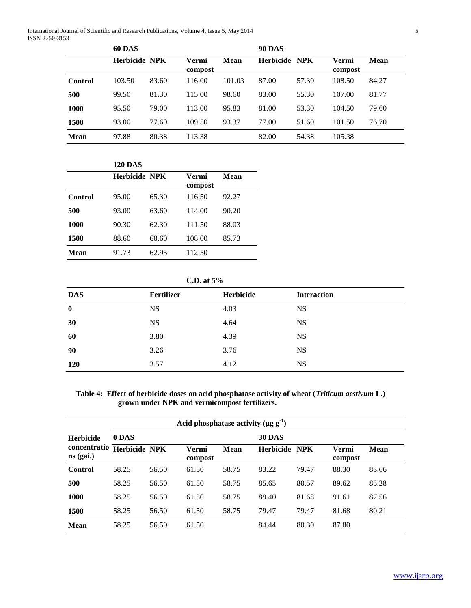International Journal of Scientific and Research Publications, Volume 4, Issue 5, May 2014 5 ISSN 2250-3153

|             | <b>60 DAS</b>        |       |                  |        | <b>90 DAS</b> |       |                  |       |
|-------------|----------------------|-------|------------------|--------|---------------|-------|------------------|-------|
|             | <b>Herbicide NPK</b> |       | Vermi<br>compost | Mean   | Herbicide NPK |       | Vermi<br>compost | Mean  |
| Control     | 103.50               | 83.60 | 116.00           | 101.03 | 87.00         | 57.30 | 108.50           | 84.27 |
| 500         | 99.50                | 81.30 | 115.00           | 98.60  | 83.00         | 55.30 | 107.00           | 81.77 |
| 1000        | 95.50                | 79.00 | 113.00           | 95.83  | 81.00         | 53.30 | 104.50           | 79.60 |
| 1500        | 93.00                | 77.60 | 109.50           | 93.37  | 77.00         | 51.60 | 101.50           | 76.70 |
| <b>Mean</b> | 97.88                | 80.38 | 113.38           |        | 82.00         | 54.38 | 105.38           |       |

# **120 DAS Herbicide NPK Vermi compost Mean Control** 95.00 65.30 116.50 92.27 **500** 93.00 63.60 114.00 90.20 **1000** 90.30 62.30 111.50 88.03 **1500** 88.60 60.60 108.00 85.73 **Mean** 91.73 62.95 112.50

| C.D. at $5\%$ |  |
|---------------|--|
|               |  |

| <b>DAS</b> | Fertilizer | Herbicide | <b>Interaction</b> |
|------------|------------|-----------|--------------------|
| $\bf{0}$   | <b>NS</b>  | 4.03      | <b>NS</b>          |
| 30         | <b>NS</b>  | 4.64      | <b>NS</b>          |
| 60         | 3.80       | 4.39      | <b>NS</b>          |
| 90         | 3.26       | 3.76      | <b>NS</b>          |
| <b>120</b> | 3.57       | 4.12      | <b>NS</b>          |

# **Table 4: Effect of herbicide doses on acid phosphatase activity of wheat (***Triticum aestivum* **L.) grown under NPK and vermicompost fertilizers.**

|                             | Acid phosphatase activity $(\mu g g-1)$ |       |                  |       |                  |       |                  |       |
|-----------------------------|-----------------------------------------|-------|------------------|-------|------------------|-------|------------------|-------|
| <b>Herbicide</b>            | 0 DAS                                   |       |                  |       | <b>30 DAS</b>    |       |                  |       |
| concentratio<br>$ns$ (gai.) | <b>Herbicide NPK</b>                    |       | Vermi<br>compost | Mean  | <b>Herbicide</b> | NPK   | Vermi<br>compost | Mean  |
| Control                     | 58.25                                   | 56.50 | 61.50            | 58.75 | 83.22            | 79.47 | 88.30            | 83.66 |
| 500                         | 58.25                                   | 56.50 | 61.50            | 58.75 | 85.65            | 80.57 | 89.62            | 85.28 |
| 1000                        | 58.25                                   | 56.50 | 61.50            | 58.75 | 89.40            | 81.68 | 91.61            | 87.56 |
| 1500                        | 58.25                                   | 56.50 | 61.50            | 58.75 | 79.47            | 79.47 | 81.68            | 80.21 |
| <b>Mean</b>                 | 58.25                                   | 56.50 | 61.50            |       | 84.44            | 80.30 | 87.80            |       |